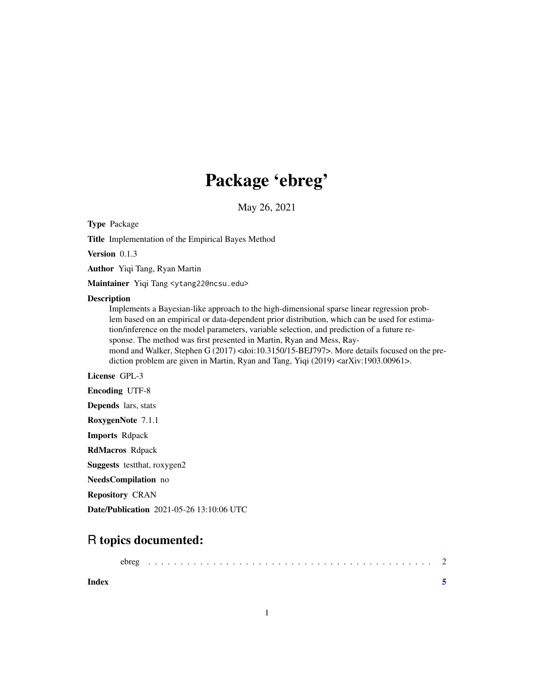## Package 'ebreg'

May 26, 2021

Type Package

Title Implementation of the Empirical Bayes Method

Version 0.1.3

Author Yiqi Tang, Ryan Martin

Maintainer Yiqi Tang <ytang22@ncsu.edu>

#### **Description**

Implements a Bayesian-like approach to the high-dimensional sparse linear regression problem based on an empirical or data-dependent prior distribution, which can be used for estimation/inference on the model parameters, variable selection, and prediction of a future response. The method was first presented in Martin, Ryan and Mess, Raymond and Walker, Stephen G (2017) <doi:10.3150/15-BEJ797>. More details focused on the prediction problem are given in Martin, Ryan and Tang, Yiqi (2019) <arXiv:1903.00961>.

License GPL-3

Encoding UTF-8

Depends lars, stats

RoxygenNote 7.1.1

Imports Rdpack

RdMacros Rdpack

Suggests testthat, roxygen2

NeedsCompilation no

Repository CRAN

Date/Publication 2021-05-26 13:10:06 UTC

### R topics documented:

| Index |  |  |  |  |  |  |  |  |  |  |  |  |  |  |  |  |  |  |  |
|-------|--|--|--|--|--|--|--|--|--|--|--|--|--|--|--|--|--|--|--|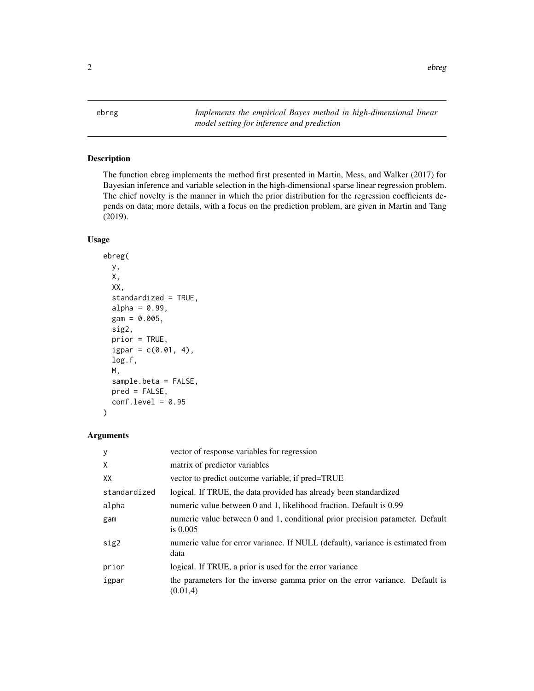<span id="page-1-0"></span>ebreg *Implements the empirical Bayes method in high-dimensional linear model setting for inference and prediction*

#### Description

The function ebreg implements the method first presented in Martin, Mess, and Walker (2017) for Bayesian inference and variable selection in the high-dimensional sparse linear regression problem. The chief novelty is the manner in which the prior distribution for the regression coefficients depends on data; more details, with a focus on the prediction problem, are given in Martin and Tang (2019).

#### Usage

```
ebreg(
  y,
  X,
  XX,
  standardized = TRUE,
  alpha = 0.99,
  gam = 0.005,sig2,
  prior = TRUE,
  igpar = c(0.01, 4),
  log.f,
  M,
  sample.beta = FALSE,
  pred = FALSE,
  conf. level = 0.95
```
#### Arguments

)

| y            | vector of response variables for regression                                                 |  |  |  |  |  |
|--------------|---------------------------------------------------------------------------------------------|--|--|--|--|--|
| X            | matrix of predictor variables                                                               |  |  |  |  |  |
| XX           | vector to predict outcome variable, if pred=TRUE                                            |  |  |  |  |  |
| standardized | logical. If TRUE, the data provided has already been standardized                           |  |  |  |  |  |
| alpha        | numeric value between 0 and 1, likelihood fraction. Default is 0.99                         |  |  |  |  |  |
| gam          | numeric value between 0 and 1, conditional prior precision parameter. Default<br>is $0.005$ |  |  |  |  |  |
| sig2         | numeric value for error variance. If NULL (default), variance is estimated from<br>data     |  |  |  |  |  |
| prior        | logical. If TRUE, a prior is used for the error variance                                    |  |  |  |  |  |
| igpar        | the parameters for the inverse gamma prior on the error variance. Default is<br>(0.01,4)    |  |  |  |  |  |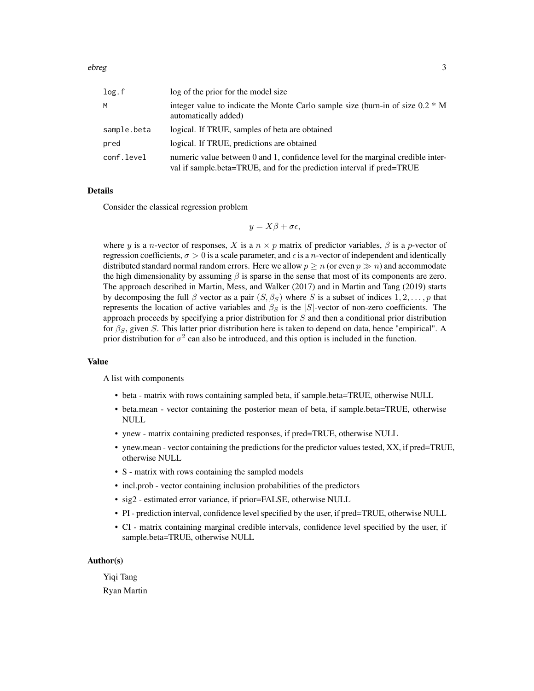| log.f       | log of the prior for the model size                                                                                                                       |
|-------------|-----------------------------------------------------------------------------------------------------------------------------------------------------------|
| М           | integer value to indicate the Monte Carlo sample size (burn-in of size $0.2 * M$<br>automatically added)                                                  |
| sample.beta | logical. If TRUE, samples of beta are obtained                                                                                                            |
| pred        | logical. If TRUE, predictions are obtained                                                                                                                |
| conf.level  | numeric value between 0 and 1, confidence level for the marginal credible inter-<br>val if sample.beta=TRUE, and for the prediction interval if pred=TRUE |

#### Details

Consider the classical regression problem

$$
y = X\beta + \sigma \epsilon,
$$

where y is a n-vector of responses, X is a  $n \times p$  matrix of predictor variables,  $\beta$  is a p-vector of regression coefficients,  $\sigma > 0$  is a scale parameter, and  $\epsilon$  is a *n*-vector of independent and identically distributed standard normal random errors. Here we allow  $p \ge n$  (or even  $p \gg n$ ) and accommodate the high dimensionality by assuming  $\beta$  is sparse in the sense that most of its components are zero. The approach described in Martin, Mess, and Walker (2017) and in Martin and Tang (2019) starts by decomposing the full  $\beta$  vector as a pair  $(S, \beta_S)$  where S is a subset of indices  $1, 2, \ldots, p$  that represents the location of active variables and  $\beta_S$  is the |S|-vector of non-zero coefficients. The approach proceeds by specifying a prior distribution for  $S$  and then a conditional prior distribution for  $\beta_S$ , given S. This latter prior distribution here is taken to depend on data, hence "empirical". A prior distribution for  $\sigma^2$  can also be introduced, and this option is included in the function.

#### Value

A list with components

- beta matrix with rows containing sampled beta, if sample.beta=TRUE, otherwise NULL
- beta.mean vector containing the posterior mean of beta, if sample.beta=TRUE, otherwise NULL
- ynew matrix containing predicted responses, if pred=TRUE, otherwise NULL
- ynew.mean vector containing the predictions for the predictor values tested, XX, if pred=TRUE, otherwise NULL
- S matrix with rows containing the sampled models
- incl.prob vector containing inclusion probabilities of the predictors
- sig2 estimated error variance, if prior=FALSE, otherwise NULL
- PI prediction interval, confidence level specified by the user, if pred=TRUE, otherwise NULL
- CI matrix containing marginal credible intervals, confidence level specified by the user, if sample.beta=TRUE, otherwise NULL

#### Author(s)

Yiqi Tang Ryan Martin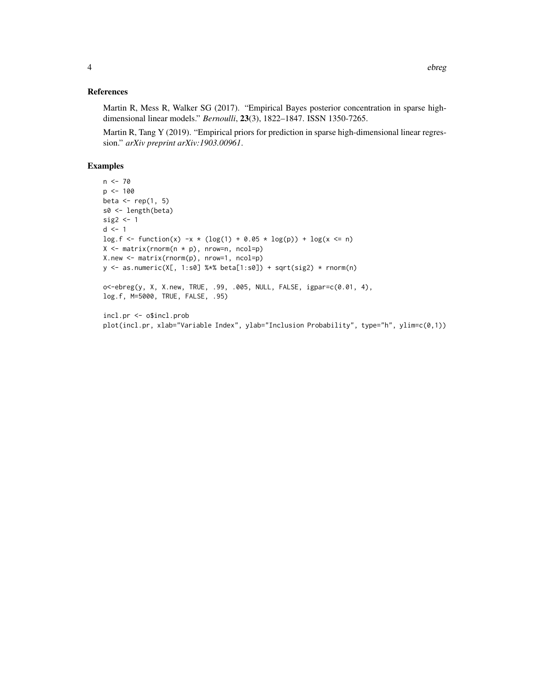#### References

Martin R, Mess R, Walker SG (2017). "Empirical Bayes posterior concentration in sparse highdimensional linear models." *Bernoulli*, 23(3), 1822–1847. ISSN 1350-7265.

Martin R, Tang Y (2019). "Empirical priors for prediction in sparse high-dimensional linear regression." *arXiv preprint arXiv:1903.00961*.

#### Examples

```
n <- 70
p <- 100
beta \leftarrow rep(1, 5)
s0 <- length(beta)
sig2 <- 1
d \leq -1\log.f \leq f function(x) -x * (\log(1) + 0.05 * \log(p)) + \log(x \leq n)X <- matrix(rnorm(n * p), nrow=n, ncol=p)
X.new <- matrix(rnorm(p), nrow=1, ncol=p)
y <- as.numeric(X[, 1:s0] %*% beta[1:s0]) + sqrt(sig2) * rnorm(n)
o<-ebreg(y, X, X.new, TRUE, .99, .005, NULL, FALSE, igpar=c(0.01, 4),
log.f, M=5000, TRUE, FALSE, .95)
incl.pr <- o$incl.prob
plot(incl.pr, xlab="Variable Index", ylab="Inclusion Probability", type="h", ylim=c(0,1))
```